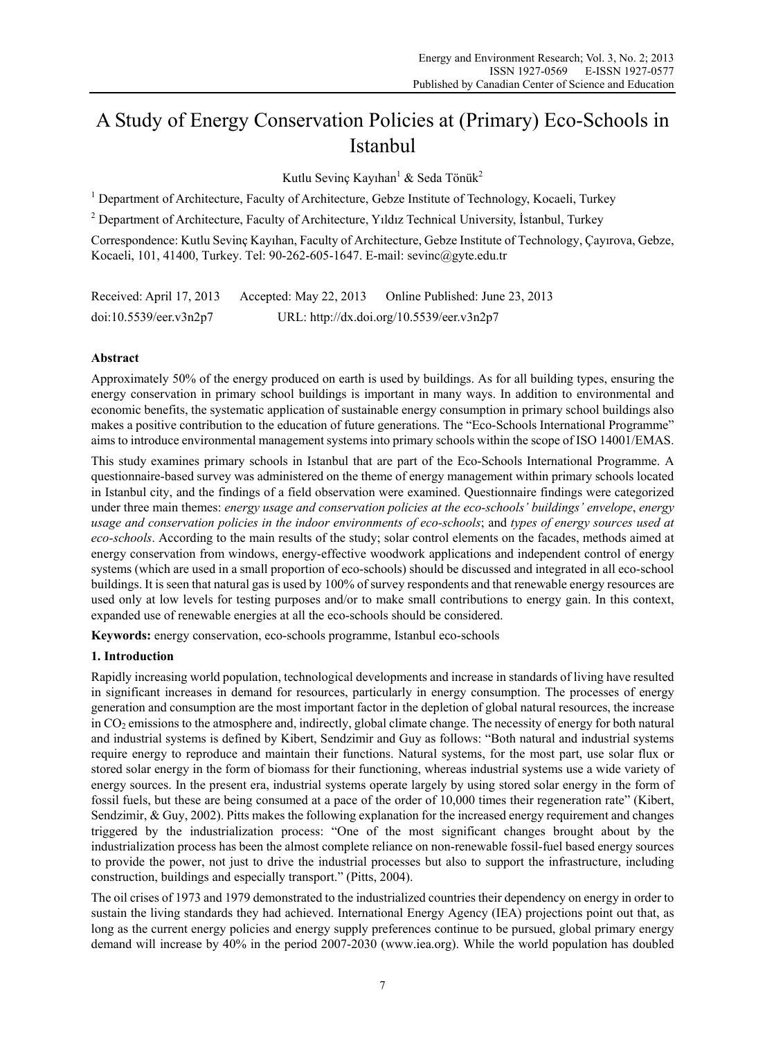# A Study of Energy Conservation Policies at (Primary) Eco-Schools in Istanbul

Kutlu Sevinç Kayıhan<sup>1</sup> & Seda Tönük<sup>2</sup>

<sup>1</sup> Department of Architecture, Faculty of Architecture, Gebze Institute of Technology, Kocaeli, Turkey

<sup>2</sup> Department of Architecture, Faculty of Architecture, Yıldız Technical University, İstanbul, Turkey

Correspondence: Kutlu Sevinç Kayıhan, Faculty of Architecture, Gebze Institute of Technology, Çayırova, Gebze, Kocaeli, 101, 41400, Turkey. Tel: 90-262-605-1647. E-mail: sevinc@gyte.edu.tr

| Received: April 17, 2013 | Accepted: May 22, 2013 | Online Published: June 23, 2013           |
|--------------------------|------------------------|-------------------------------------------|
| doi:10.5539/eer.v3n2p7   |                        | URL: http://dx.doi.org/10.5539/eer.v3n2p7 |

# **Abstract**

Approximately 50% of the energy produced on earth is used by buildings. As for all building types, ensuring the energy conservation in primary school buildings is important in many ways. In addition to environmental and economic benefits, the systematic application of sustainable energy consumption in primary school buildings also makes a positive contribution to the education of future generations. The "Eco-Schools International Programme" aims to introduce environmental management systems into primary schools within the scope of ISO 14001/EMAS.

This study examines primary schools in Istanbul that are part of the Eco-Schools International Programme. A questionnaire-based survey was administered on the theme of energy management within primary schools located in Istanbul city, and the findings of a field observation were examined. Questionnaire findings were categorized under three main themes: *energy usage and conservation policies at the eco-schools' buildings' envelope*, *energy usage and conservation policies in the indoor environments of eco-schools*; and *types of energy sources used at eco-schools*. According to the main results of the study; solar control elements on the facades, methods aimed at energy conservation from windows, energy-effective woodwork applications and independent control of energy systems (which are used in a small proportion of eco-schools) should be discussed and integrated in all eco-school buildings. It is seen that natural gas is used by 100% of survey respondents and that renewable energy resources are used only at low levels for testing purposes and/or to make small contributions to energy gain. In this context, expanded use of renewable energies at all the eco-schools should be considered.

**Keywords:** energy conservation, eco-schools programme, Istanbul eco-schools

# **1. Introduction**

Rapidly increasing world population, technological developments and increase in standards of living have resulted in significant increases in demand for resources, particularly in energy consumption. The processes of energy generation and consumption are the most important factor in the depletion of global natural resources, the increase in  $CO<sub>2</sub>$  emissions to the atmosphere and, indirectly, global climate change. The necessity of energy for both natural and industrial systems is defined by Kibert, Sendzimir and Guy as follows: "Both natural and industrial systems require energy to reproduce and maintain their functions. Natural systems, for the most part, use solar flux or stored solar energy in the form of biomass for their functioning, whereas industrial systems use a wide variety of energy sources. In the present era, industrial systems operate largely by using stored solar energy in the form of fossil fuels, but these are being consumed at a pace of the order of 10,000 times their regeneration rate" (Kibert, Sendzimir, & Guy, 2002). Pitts makes the following explanation for the increased energy requirement and changes triggered by the industrialization process: "One of the most significant changes brought about by the industrialization process has been the almost complete reliance on non-renewable fossil-fuel based energy sources to provide the power, not just to drive the industrial processes but also to support the infrastructure, including construction, buildings and especially transport." (Pitts, 2004).

The oil crises of 1973 and 1979 demonstrated to the industrialized countries their dependency on energy in order to sustain the living standards they had achieved. International Energy Agency (IEA) projections point out that, as long as the current energy policies and energy supply preferences continue to be pursued, global primary energy demand will increase by 40% in the period 2007-2030 (www.iea.org). While the world population has doubled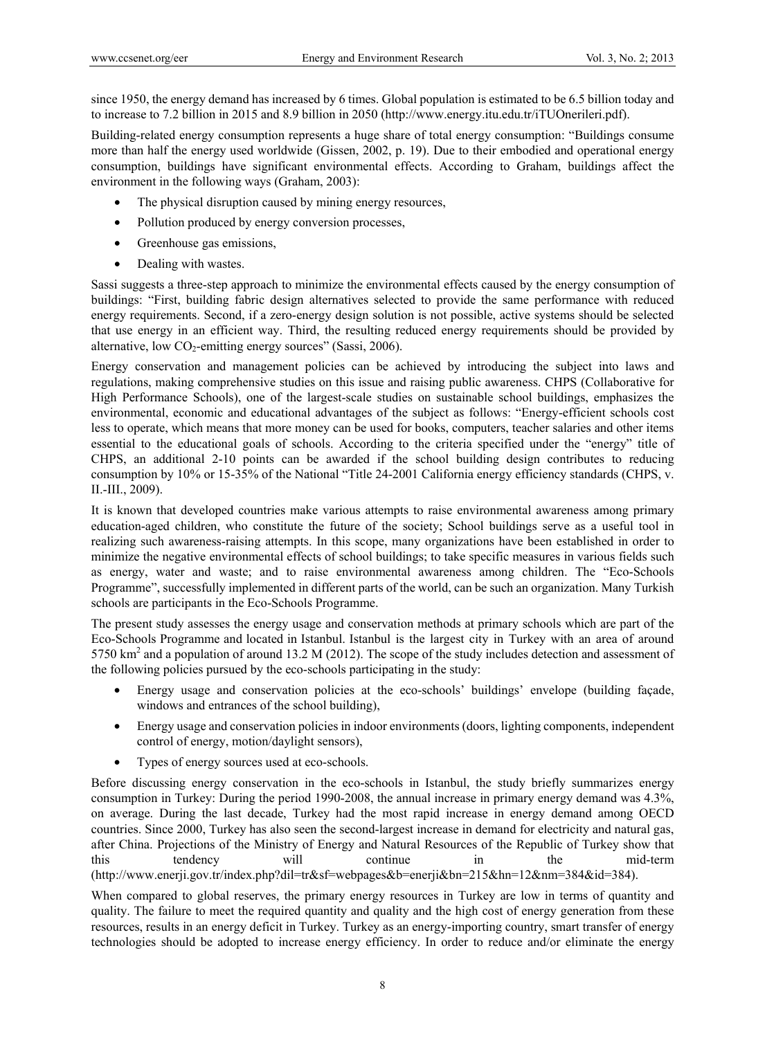since 1950, the energy demand has increased by 6 times. Global population is estimated to be 6.5 billion today and to increase to 7.2 billion in 2015 and 8.9 billion in 2050 (http://www.energy.itu.edu.tr/iTUOnerileri.pdf).

Building-related energy consumption represents a huge share of total energy consumption: "Buildings consume more than half the energy used worldwide (Gissen, 2002, p. 19). Due to their embodied and operational energy consumption, buildings have significant environmental effects. According to Graham, buildings affect the environment in the following ways (Graham, 2003):

- The physical disruption caused by mining energy resources,
- Pollution produced by energy conversion processes,
- Greenhouse gas emissions,
- Dealing with wastes.

Sassi suggests a three-step approach to minimize the environmental effects caused by the energy consumption of buildings: "First, building fabric design alternatives selected to provide the same performance with reduced energy requirements. Second, if a zero-energy design solution is not possible, active systems should be selected that use energy in an efficient way. Third, the resulting reduced energy requirements should be provided by alternative, low  $CO_2$ -emitting energy sources" (Sassi, 2006).

Energy conservation and management policies can be achieved by introducing the subject into laws and regulations, making comprehensive studies on this issue and raising public awareness. CHPS (Collaborative for High Performance Schools), one of the largest-scale studies on sustainable school buildings, emphasizes the environmental, economic and educational advantages of the subject as follows: "Energy-efficient schools cost less to operate, which means that more money can be used for books, computers, teacher salaries and other items essential to the educational goals of schools. According to the criteria specified under the "energy" title of CHPS, an additional 2-10 points can be awarded if the school building design contributes to reducing consumption by 10% or 15-35% of the National "Title 24-2001 California energy efficiency standards (CHPS, v. II.-III., 2009).

It is known that developed countries make various attempts to raise environmental awareness among primary education-aged children, who constitute the future of the society; School buildings serve as a useful tool in realizing such awareness-raising attempts. In this scope, many organizations have been established in order to minimize the negative environmental effects of school buildings; to take specific measures in various fields such as energy, water and waste; and to raise environmental awareness among children. The "Eco-Schools Programme", successfully implemented in different parts of the world, can be such an organization. Many Turkish schools are participants in the Eco-Schools Programme.

The present study assesses the energy usage and conservation methods at primary schools which are part of the Eco-Schools Programme and located in Istanbul. Istanbul is the largest city in Turkey with an area of around 5750  $\text{km}^2$  and a population of around 13.2 M (2012). The scope of the study includes detection and assessment of the following policies pursued by the eco-schools participating in the study:

- Energy usage and conservation policies at the eco-schools' buildings' envelope (building façade, windows and entrances of the school building),
- Energy usage and conservation policies in indoor environments (doors, lighting components, independent control of energy, motion/daylight sensors),
- Types of energy sources used at eco-schools.

Before discussing energy conservation in the eco-schools in Istanbul, the study briefly summarizes energy consumption in Turkey: During the period 1990-2008, the annual increase in primary energy demand was 4.3%, on average. During the last decade, Turkey had the most rapid increase in energy demand among OECD countries. Since 2000, Turkey has also seen the second-largest increase in demand for electricity and natural gas, after China. Projections of the Ministry of Energy and Natural Resources of the Republic of Turkey show that this tendency will continue in the mid-term (http://www.enerji.gov.tr/index.php?dil=tr&sf=webpages&b=enerji&bn=215&hn=12&nm=384&id=384).

When compared to global reserves, the primary energy resources in Turkey are low in terms of quantity and quality. The failure to meet the required quantity and quality and the high cost of energy generation from these resources, results in an energy deficit in Turkey. Turkey as an energy-importing country, smart transfer of energy technologies should be adopted to increase energy efficiency. In order to reduce and/or eliminate the energy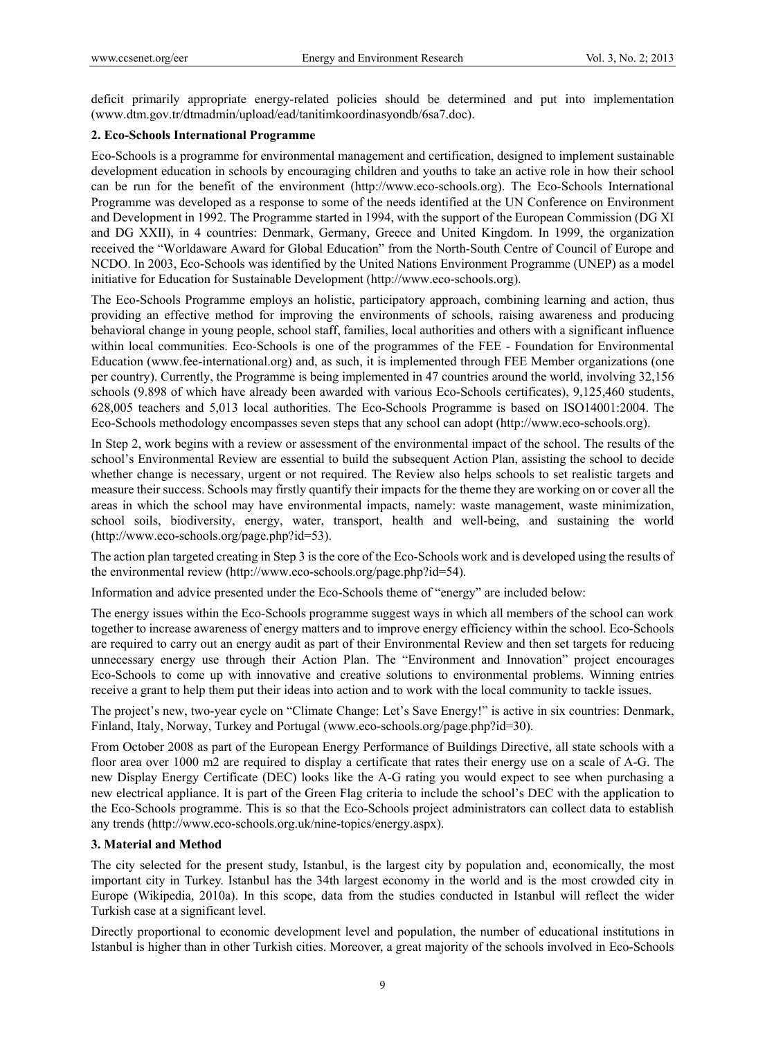deficit primarily appropriate energy-related policies should be determined and put into implementation (www.dtm.gov.tr/dtmadmin/upload/ead/tanitimkoordinasyondb/6sa7.doc).

## **2. Eco-Schools International Programme**

Eco-Schools is a programme for environmental management and certification, designed to implement sustainable development education in schools by encouraging children and youths to take an active role in how their school can be run for the benefit of the environment (http://www.eco-schools.org). The Eco-Schools International Programme was developed as a response to some of the needs identified at the UN Conference on Environment and Development in 1992. The Programme started in 1994, with the support of the European Commission (DG XI and DG XXII), in 4 countries: Denmark, Germany, Greece and United Kingdom. In 1999, the organization received the "Worldaware Award for Global Education" from the North-South Centre of Council of Europe and NCDO. In 2003, Eco-Schools was identified by the United Nations Environment Programme (UNEP) as a model initiative for Education for Sustainable Development (http://www.eco-schools.org).

The Eco-Schools Programme employs an holistic, participatory approach, combining learning and action, thus providing an effective method for improving the environments of schools, raising awareness and producing behavioral change in young people, school staff, families, local authorities and others with a significant influence within local communities. Eco-Schools is one of the programmes of the FEE - Foundation for Environmental Education (www.fee-international.org) and, as such, it is implemented through FEE Member organizations (one per country). Currently, the Programme is being implemented in 47 countries around the world, involving 32,156 schools (9.898 of which have already been awarded with various Eco-Schools certificates), 9,125,460 students, 628,005 teachers and 5,013 local authorities. The Eco-Schools Programme is based on ISO14001:2004. The Eco-Schools methodology encompasses seven steps that any school can adopt (http://www.eco-schools.org).

In Step 2, work begins with a review or assessment of the environmental impact of the school. The results of the school's Environmental Review are essential to build the subsequent Action Plan, assisting the school to decide whether change is necessary, urgent or not required. The Review also helps schools to set realistic targets and measure their success. Schools may firstly quantify their impacts for the theme they are working on or cover all the areas in which the school may have environmental impacts, namely: waste management, waste minimization, school soils, biodiversity, energy, water, transport, health and well-being, and sustaining the world (http://www.eco-schools.org/page.php?id=53).

The action plan targeted creating in Step 3 is the core of the Eco-Schools work and is developed using the results of the environmental review (http://www.eco-schools.org/page.php?id=54).

Information and advice presented under the Eco-Schools theme of "energy" are included below:

The energy issues within the Eco-Schools programme suggest ways in which all members of the school can work together to increase awareness of energy matters and to improve energy efficiency within the school. Eco-Schools are required to carry out an energy audit as part of their Environmental Review and then set targets for reducing unnecessary energy use through their Action Plan. The "Environment and Innovation" project encourages Eco-Schools to come up with innovative and creative solutions to environmental problems. Winning entries receive a grant to help them put their ideas into action and to work with the local community to tackle issues.

The project's new, two-year cycle on "Climate Change: Let's Save Energy!" is active in six countries: Denmark, Finland, Italy, Norway, Turkey and Portugal (www.eco-schools.org/page.php?id=30).

From October 2008 as part of the European Energy Performance of Buildings Directive, all state schools with a floor area over 1000 m2 are required to display a certificate that rates their energy use on a scale of A-G. The new Display Energy Certificate (DEC) looks like the A-G rating you would expect to see when purchasing a new electrical appliance. It is part of the Green Flag criteria to include the school's DEC with the application to the Eco-Schools programme. This is so that the Eco-Schools project administrators can collect data to establish any trends (http://www.eco-schools.org.uk/nine-topics/energy.aspx).

### **3. Material and Method**

The city selected for the present study, Istanbul, is the largest city by population and, economically, the most important city in Turkey. Istanbul has the 34th largest economy in the world and is the most crowded city in Europe (Wikipedia, 2010a). In this scope, data from the studies conducted in Istanbul will reflect the wider Turkish case at a significant level.

Directly proportional to economic development level and population, the number of educational institutions in Istanbul is higher than in other Turkish cities. Moreover, a great majority of the schools involved in Eco-Schools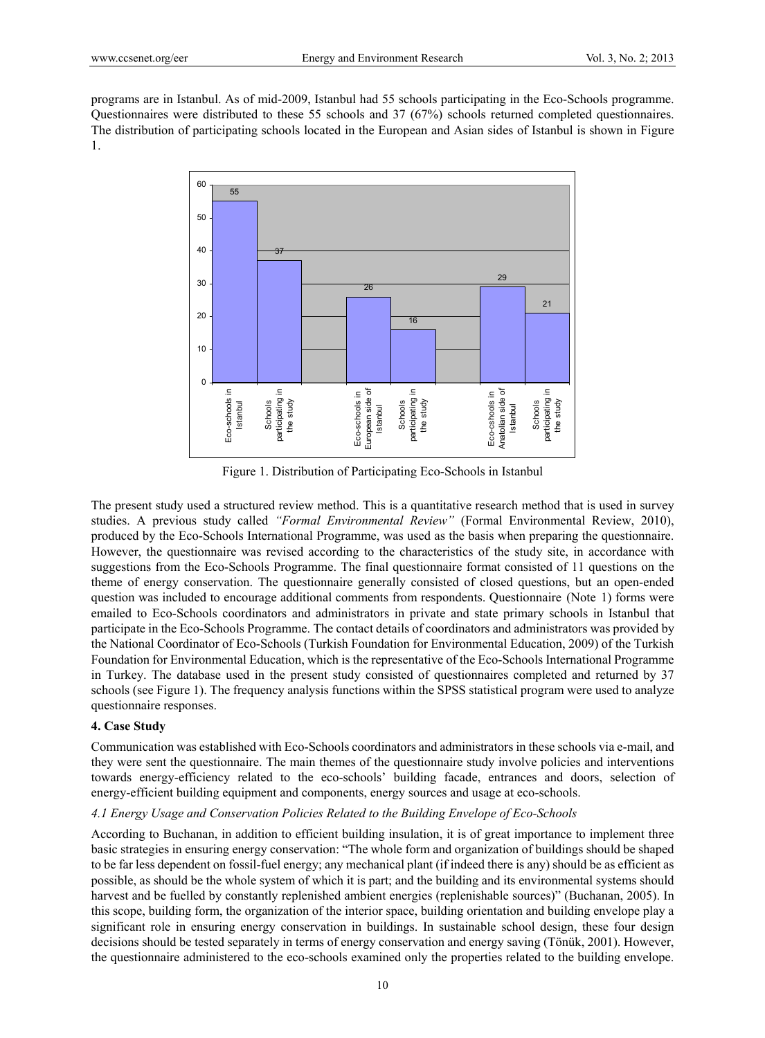programs are in Istanbul. As of mid-2009, Istanbul had 55 schools participating in the Eco-Schools programme. Questionnaires were distributed to these 55 schools and 37 (67%) schools returned completed questionnaires. The distribution of participating schools located in the European and Asian sides of Istanbul is shown in Figure 1.



Figure 1. Distribution of Participating Eco-Schools in Istanbul

The present study used a structured review method. This is a quantitative research method that is used in survey studies. A previous study called *"Formal Environmental Review"* (Formal Environmental Review, 2010), produced by the Eco-Schools International Programme, was used as the basis when preparing the questionnaire. However, the questionnaire was revised according to the characteristics of the study site, in accordance with suggestions from the Eco-Schools Programme. The final questionnaire format consisted of 11 questions on the theme of energy conservation. The questionnaire generally consisted of closed questions, but an open-ended question was included to encourage additional comments from respondents. Questionnaire (Note 1) forms were emailed to Eco-Schools coordinators and administrators in private and state primary schools in Istanbul that participate in the Eco-Schools Programme. The contact details of coordinators and administrators was provided by the National Coordinator of Eco-Schools (Turkish Foundation for Environmental Education, 2009) of the Turkish Foundation for Environmental Education, which is the representative of the Eco-Schools International Programme in Turkey. The database used in the present study consisted of questionnaires completed and returned by 37 schools (see Figure 1). The frequency analysis functions within the SPSS statistical program were used to analyze questionnaire responses.

### **4. Case Study**

Communication was established with Eco-Schools coordinators and administrators in these schools via e-mail, and they were sent the questionnaire. The main themes of the questionnaire study involve policies and interventions towards energy-efficiency related to the eco-schools' building facade, entrances and doors, selection of energy-efficient building equipment and components, energy sources and usage at eco-schools.

# *4.1 Energy Usage and Conservation Policies Related to the Building Envelope of Eco-Schools*

According to Buchanan, in addition to efficient building insulation, it is of great importance to implement three basic strategies in ensuring energy conservation: "The whole form and organization of buildings should be shaped to be far less dependent on fossil-fuel energy; any mechanical plant (if indeed there is any) should be as efficient as possible, as should be the whole system of which it is part; and the building and its environmental systems should harvest and be fuelled by constantly replenished ambient energies (replenishable sources)" (Buchanan, 2005). In this scope, building form, the organization of the interior space, building orientation and building envelope play a significant role in ensuring energy conservation in buildings. In sustainable school design, these four design decisions should be tested separately in terms of energy conservation and energy saving (Tönük, 2001). However, the questionnaire administered to the eco-schools examined only the properties related to the building envelope.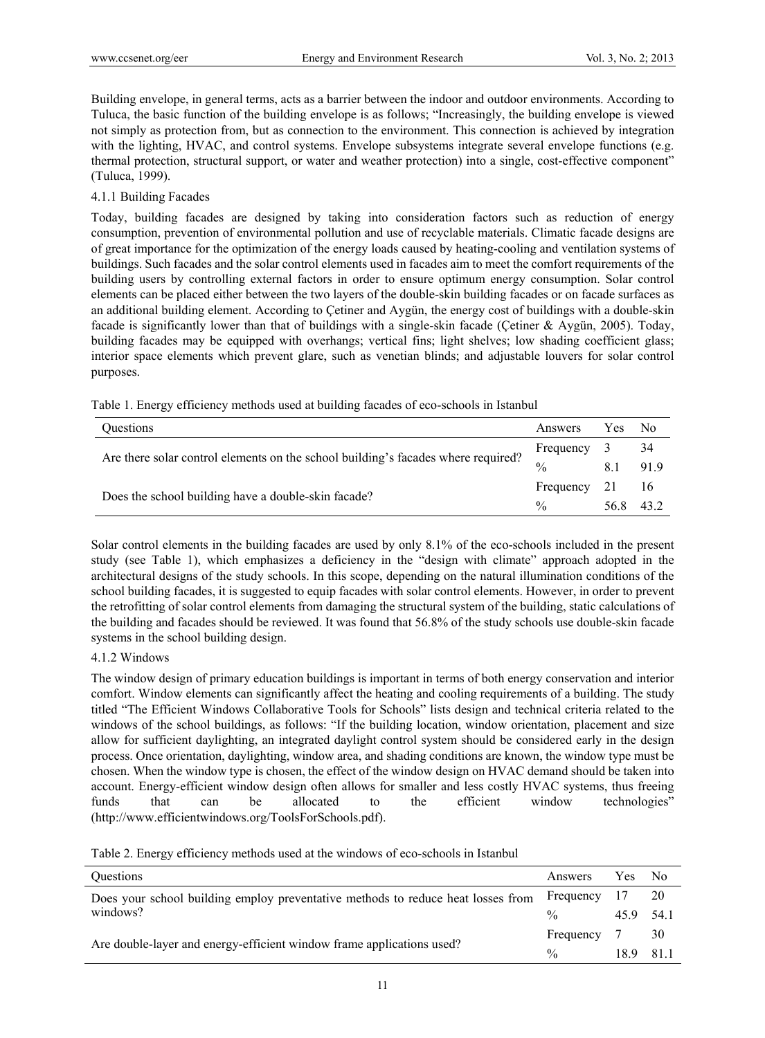Building envelope, in general terms, acts as a barrier between the indoor and outdoor environments. According to Tuluca, the basic function of the building envelope is as follows; "Increasingly, the building envelope is viewed not simply as protection from, but as connection to the environment. This connection is achieved by integration with the lighting, HVAC, and control systems. Envelope subsystems integrate several envelope functions (e.g. thermal protection, structural support, or water and weather protection) into a single, cost-effective component" (Tuluca, 1999).

### 4.1.1 Building Facades

Today, building facades are designed by taking into consideration factors such as reduction of energy consumption, prevention of environmental pollution and use of recyclable materials. Climatic facade designs are of great importance for the optimization of the energy loads caused by heating-cooling and ventilation systems of buildings. Such facades and the solar control elements used in facades aim to meet the comfort requirements of the building users by controlling external factors in order to ensure optimum energy consumption. Solar control elements can be placed either between the two layers of the double-skin building facades or on facade surfaces as an additional building element. According to Çetiner and Aygün, the energy cost of buildings with a double-skin facade is significantly lower than that of buildings with a single-skin facade (Çetiner & Aygün, 2005). Today, building facades may be equipped with overhangs; vertical fins; light shelves; low shading coefficient glass; interior space elements which prevent glare, such as venetian blinds; and adjustable louvers for solar control purposes.

|  |  |  |  | Table 1. Energy efficiency methods used at building facades of eco-schools in Istanbul |
|--|--|--|--|----------------------------------------------------------------------------------------|
|--|--|--|--|----------------------------------------------------------------------------------------|

| Questions                                                                         | Answers       | Yes  | N <sub>0</sub> |
|-----------------------------------------------------------------------------------|---------------|------|----------------|
| Are there solar control elements on the school building's facades where required? | Frequency     | 3    | 34             |
|                                                                                   | $\frac{0}{0}$ |      | 919            |
|                                                                                   | Frequency     | 21   | -16            |
| Does the school building have a double-skin facade?                               |               | 56.8 | 43.2           |

Solar control elements in the building facades are used by only 8.1% of the eco-schools included in the present study (see Table 1), which emphasizes a deficiency in the "design with climate" approach adopted in the architectural designs of the study schools. In this scope, depending on the natural illumination conditions of the school building facades, it is suggested to equip facades with solar control elements. However, in order to prevent the retrofitting of solar control elements from damaging the structural system of the building, static calculations of the building and facades should be reviewed. It was found that 56.8% of the study schools use double-skin facade systems in the school building design.

### 4.1.2 Windows

The window design of primary education buildings is important in terms of both energy conservation and interior comfort. Window elements can significantly affect the heating and cooling requirements of a building. The study titled "The Efficient Windows Collaborative Tools for Schools" lists design and technical criteria related to the windows of the school buildings, as follows: "If the building location, window orientation, placement and size allow for sufficient daylighting, an integrated daylight control system should be considered early in the design process. Once orientation, daylighting, window area, and shading conditions are known, the window type must be chosen. When the window type is chosen, the effect of the window design on HVAC demand should be taken into account. Energy-efficient window design often allows for smaller and less costly HVAC systems, thus freeing funds that can be allocated to the efficient window technologies" (http://www.efficientwindows.org/ToolsForSchools.pdf).

Table 2. Energy efficiency methods used at the windows of eco-schools in Istanbul

| <b>Ouestions</b>                                                                 | Answers       | Yes     | - No   |
|----------------------------------------------------------------------------------|---------------|---------|--------|
| Does your school building employ preventative methods to reduce heat losses from | Frequency     |         | 20     |
| windows?                                                                         | $\frac{0}{0}$ | 459     | - 54.1 |
|                                                                                  | Frequency     |         | 30     |
| Are double-layer and energy-efficient window frame applications used?            | $\frac{0}{0}$ | 189 811 |        |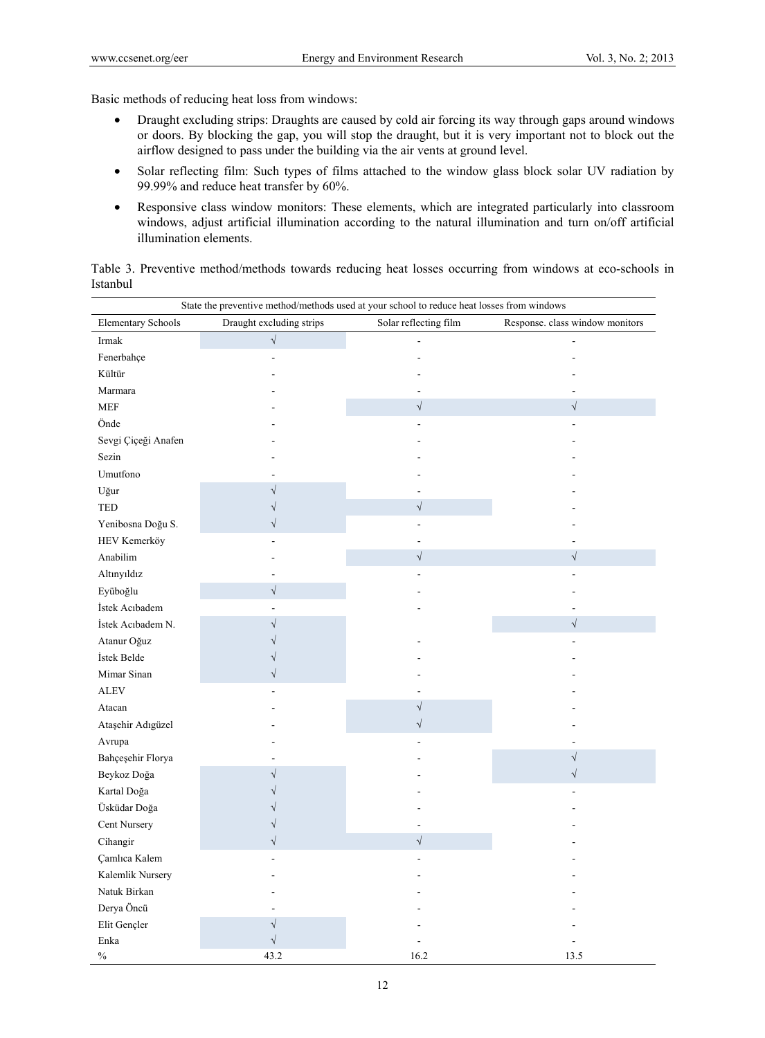Basic methods of reducing heat loss from windows:

- Draught excluding strips: Draughts are caused by cold air forcing its way through gaps around windows or doors. By blocking the gap, you will stop the draught, but it is very important not to block out the airflow designed to pass under the building via the air vents at ground level.
- Solar reflecting film: Such types of films attached to the window glass block solar UV radiation by 99.99% and reduce heat transfer by 60%.
- Responsive class window monitors: These elements, which are integrated particularly into classroom windows, adjust artificial illumination according to the natural illumination and turn on/off artificial illumination elements.

|          | Table 3. Preventive method/methods towards reducing heat losses occurring from windows at eco-schools in |  |  |  |  |  |
|----------|----------------------------------------------------------------------------------------------------------|--|--|--|--|--|
| Istanbul |                                                                                                          |  |  |  |  |  |

|                           | State the preventive method/methods used at your school to reduce heat losses from windows |                       |                                 |
|---------------------------|--------------------------------------------------------------------------------------------|-----------------------|---------------------------------|
| <b>Elementary Schools</b> | Draught excluding strips                                                                   | Solar reflecting film | Response. class window monitors |
| Irmak                     | $\sqrt{}$                                                                                  |                       |                                 |
| Fenerbahçe                |                                                                                            |                       |                                 |
| Kültür                    |                                                                                            |                       |                                 |
| Marmara                   |                                                                                            |                       |                                 |
| <b>MEF</b>                |                                                                                            | $\sqrt{ }$            | $\sqrt{}$                       |
| Önde                      |                                                                                            |                       |                                 |
| Sevgi Çiçeği Anafen       |                                                                                            |                       |                                 |
| Sezin                     |                                                                                            |                       |                                 |
| Umutfono                  |                                                                                            |                       |                                 |
| Uğur                      |                                                                                            |                       |                                 |
| <b>TED</b>                |                                                                                            | $\sqrt{ }$            |                                 |
| Yenibosna Doğu S.         |                                                                                            |                       |                                 |
| HEV Kemerköy              |                                                                                            |                       |                                 |
| Anabilim                  |                                                                                            | $\sqrt{}$             | $\sqrt{ }$                      |
| Altınyıldız               |                                                                                            |                       |                                 |
| Eyüboğlu                  | $\sqrt{}$                                                                                  |                       |                                 |
| İstek Acıbadem            |                                                                                            |                       |                                 |
| İstek Acıbadem N.         |                                                                                            |                       | $\sqrt{}$                       |
| Atanur Oğuz               |                                                                                            |                       |                                 |
| İstek Belde               |                                                                                            |                       |                                 |
| Mimar Sinan               | $\sqrt{}$                                                                                  |                       |                                 |
| <b>ALEV</b>               |                                                                                            |                       |                                 |
| Atacan                    |                                                                                            | $\sqrt{ }$            |                                 |
| Ataşehir Adıgüzel         |                                                                                            | $\sqrt{}$             |                                 |
| Avrupa                    |                                                                                            |                       |                                 |
| Bahçeşehir Florya         |                                                                                            |                       | $\sqrt{}$                       |
| Beykoz Doğa               |                                                                                            |                       | $\sqrt{}$                       |
| Kartal Doğa               |                                                                                            |                       |                                 |
| Üsküdar Doğa              |                                                                                            |                       |                                 |
| Cent Nursery              |                                                                                            |                       |                                 |
| Cihangir                  | $\sqrt{}$                                                                                  | $\sqrt{}$             |                                 |
| Çamlıca Kalem             |                                                                                            |                       |                                 |
| Kalemlik Nursery          |                                                                                            |                       |                                 |
| Natuk Birkan              |                                                                                            |                       |                                 |
| Derya Öncü                |                                                                                            |                       |                                 |
| Elit Gençler              | $\sqrt{}$                                                                                  |                       |                                 |
| Enka                      | $\sqrt{}$                                                                                  |                       |                                 |
| $\%$                      | 43.2                                                                                       | 16.2                  | 13.5                            |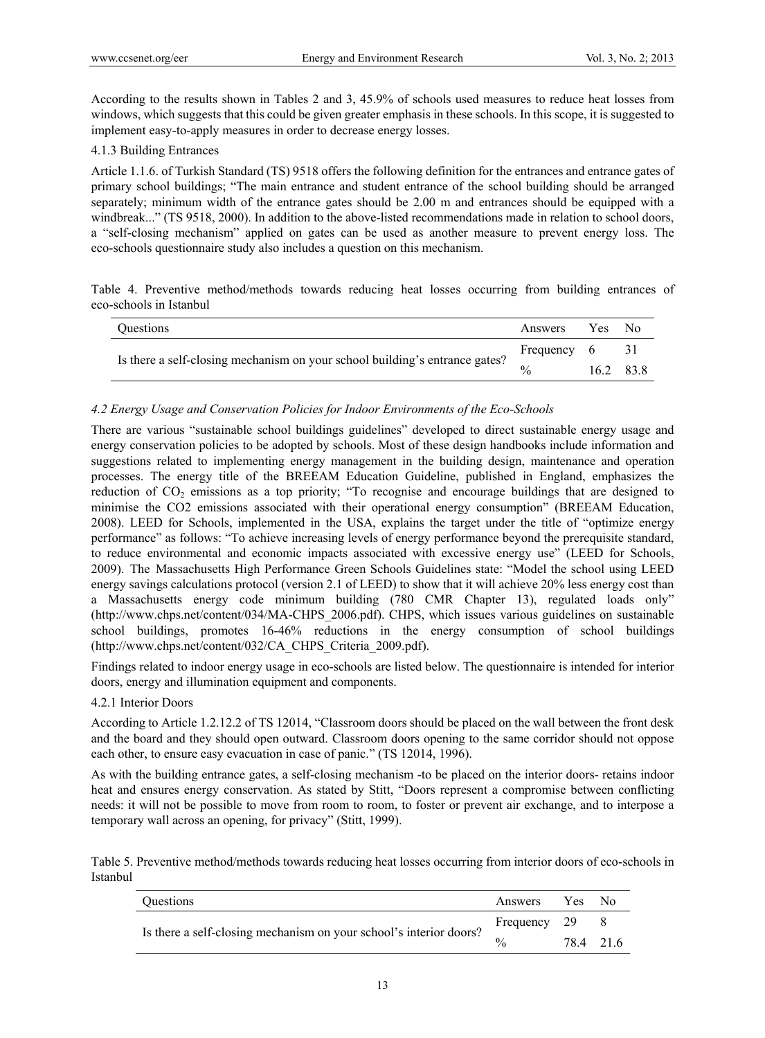According to the results shown in Tables 2 and 3, 45.9% of schools used measures to reduce heat losses from windows, which suggests that this could be given greater emphasis in these schools. In this scope, it is suggested to implement easy-to-apply measures in order to decrease energy losses.

## 4.1.3 Building Entrances

Article 1.1.6. of Turkish Standard (TS) 9518 offers the following definition for the entrances and entrance gates of primary school buildings; "The main entrance and student entrance of the school building should be arranged separately; minimum width of the entrance gates should be 2.00 m and entrances should be equipped with a windbreak..." (TS 9518, 2000). In addition to the above-listed recommendations made in relation to school doors, a "self-closing mechanism" applied on gates can be used as another measure to prevent energy loss. The eco-schools questionnaire study also includes a question on this mechanism.

Table 4. Preventive method/methods towards reducing heat losses occurring from building entrances of eco-schools in Istanbul

| <b>Ouestions</b>                                                            | Answers     | Yes No |           |
|-----------------------------------------------------------------------------|-------------|--------|-----------|
|                                                                             | Frequency 6 |        | - 31      |
| Is there a self-closing mechanism on your school building's entrance gates? | 0/2         |        | 16.2 83.8 |

## *4.2 Energy Usage and Conservation Policies for Indoor Environments of the Eco-Schools*

There are various "sustainable school buildings guidelines" developed to direct sustainable energy usage and energy conservation policies to be adopted by schools. Most of these design handbooks include information and suggestions related to implementing energy management in the building design, maintenance and operation processes. The energy title of the BREEAM Education Guideline, published in England, emphasizes the reduction of CO<sub>2</sub> emissions as a top priority; "To recognise and encourage buildings that are designed to minimise the CO2 emissions associated with their operational energy consumption" (BREEAM Education, 2008). LEED for Schools, implemented in the USA, explains the target under the title of "optimize energy performance" as follows: "To achieve increasing levels of energy performance beyond the prerequisite standard, to reduce environmental and economic impacts associated with excessive energy use" (LEED for Schools, 2009). The Massachusetts High Performance Green Schools Guidelines state: "Model the school using LEED energy savings calculations protocol (version 2.1 of LEED) to show that it will achieve 20% less energy cost than a Massachusetts energy code minimum building (780 CMR Chapter 13), regulated loads only" (http://www.chps.net/content/034/MA-CHPS\_2006.pdf). CHPS, which issues various guidelines on sustainable school buildings, promotes 16-46% reductions in the energy consumption of school buildings (http://www.chps.net/content/032/CA\_CHPS\_Criteria\_2009.pdf).

Findings related to indoor energy usage in eco-schools are listed below. The questionnaire is intended for interior doors, energy and illumination equipment and components.

## 4.2.1 Interior Doors

According to Article 1.2.12.2 of TS 12014, "Classroom doors should be placed on the wall between the front desk and the board and they should open outward. Classroom doors opening to the same corridor should not oppose each other, to ensure easy evacuation in case of panic." (TS 12014, 1996).

As with the building entrance gates, a self-closing mechanism -to be placed on the interior doors- retains indoor heat and ensures energy conservation. As stated by Stitt, "Doors represent a compromise between conflicting needs: it will not be possible to move from room to room, to foster or prevent air exchange, and to interpose a temporary wall across an opening, for privacy" (Stitt, 1999).

Table 5. Preventive method/methods towards reducing heat losses occurring from interior doors of eco-schools in Istanbul

| <b>Ouestions</b>                                                   | Answers Yes No |           |  |
|--------------------------------------------------------------------|----------------|-----------|--|
|                                                                    | Frequency 29   |           |  |
| Is there a self-closing mechanism on your school's interior doors? | 0/2            | 78.4 21.6 |  |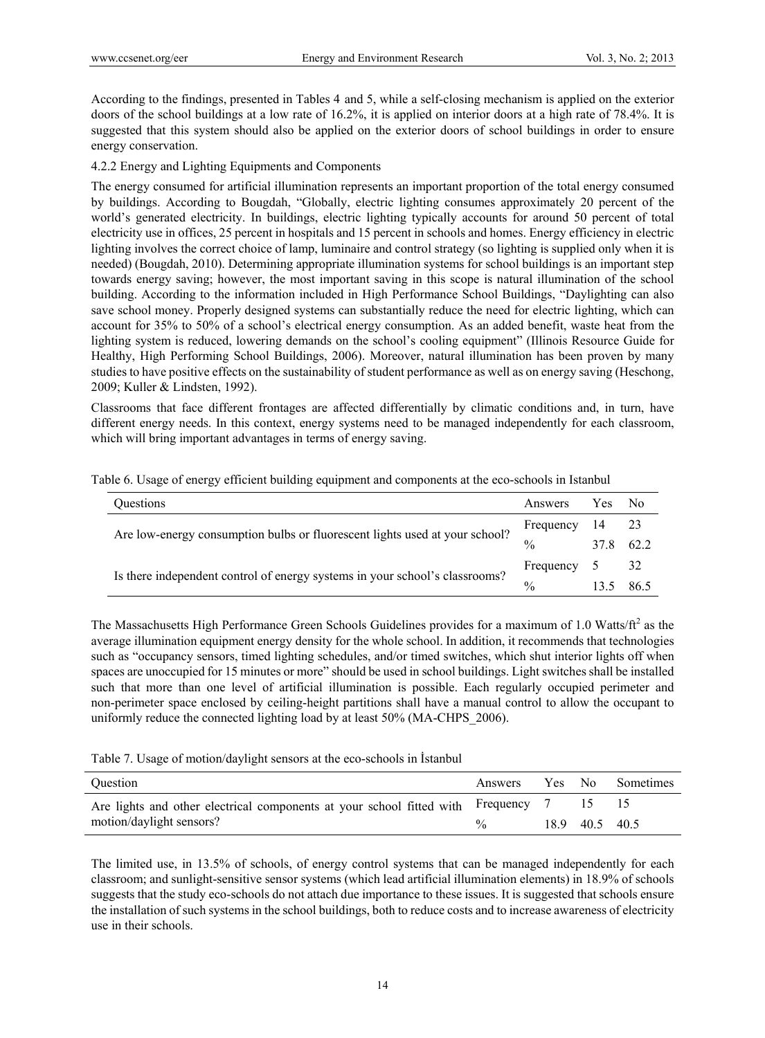According to the findings, presented in Tables 4 and 5, while a self-closing mechanism is applied on the exterior doors of the school buildings at a low rate of 16.2%, it is applied on interior doors at a high rate of 78.4%. It is suggested that this system should also be applied on the exterior doors of school buildings in order to ensure energy conservation.

#### 4.2.2 Energy and Lighting Equipments and Components

The energy consumed for artificial illumination represents an important proportion of the total energy consumed by buildings. According to Bougdah, "Globally, electric lighting consumes approximately 20 percent of the world's generated electricity. In buildings, electric lighting typically accounts for around 50 percent of total electricity use in offices, 25 percent in hospitals and 15 percent in schools and homes. Energy efficiency in electric lighting involves the correct choice of lamp, luminaire and control strategy (so lighting is supplied only when it is needed) (Bougdah, 2010). Determining appropriate illumination systems for school buildings is an important step towards energy saving; however, the most important saving in this scope is natural illumination of the school building. According to the information included in High Performance School Buildings, "Daylighting can also save school money. Properly designed systems can substantially reduce the need for electric lighting, which can account for 35% to 50% of a school's electrical energy consumption. As an added benefit, waste heat from the lighting system is reduced, lowering demands on the school's cooling equipment" (Illinois Resource Guide for Healthy, High Performing School Buildings, 2006). Moreover, natural illumination has been proven by many studies to have positive effects on the sustainability of student performance as well as on energy saving (Heschong, 2009; Kuller & Lindsten, 1992).

Classrooms that face different frontages are affected differentially by climatic conditions and, in turn, have different energy needs. In this context, energy systems need to be managed independently for each classroom, which will bring important advantages in terms of energy saving.

| <b>Ouestions</b>                                                            | Answers       | Yes         | N <sub>0</sub> |
|-----------------------------------------------------------------------------|---------------|-------------|----------------|
| Are low-energy consumption bulbs or fluorescent lights used at your school? |               | 14 23       |                |
|                                                                             | $\frac{0}{0}$ | 37.8        | 62.2           |
|                                                                             | Frequency     | $5^{\circ}$ | - 32           |
| Is there independent control of energy systems in your school's classrooms? | $\frac{0}{0}$ |             | 86.5           |

Table 6. Usage of energy efficient building equipment and components at the eco-schools in Istanbul

The Massachusetts High Performance Green Schools Guidelines provides for a maximum of 1.0 Watts/ $ft<sup>2</sup>$  as the average illumination equipment energy density for the whole school. In addition, it recommends that technologies such as "occupancy sensors, timed lighting schedules, and/or timed switches, which shut interior lights off when spaces are unoccupied for 15 minutes or more" should be used in school buildings. Light switches shall be installed such that more than one level of artificial illumination is possible. Each regularly occupied perimeter and non-perimeter space enclosed by ceiling-height partitions shall have a manual control to allow the occupant to uniformly reduce the connected lighting load by at least 50% (MA-CHPS\_2006).

Table 7. Usage of motion/daylight sensors at the eco-schools in İstanbul

| Ouestion                                                                        | Answers | Yes No |                | <b>Sometimes</b> |
|---------------------------------------------------------------------------------|---------|--------|----------------|------------------|
| Are lights and other electrical components at your school fitted with Frequency |         |        |                |                  |
| motion/daylight sensors?<br>$\frac{0}{0}$                                       |         |        | 18.9 40.5 40.5 |                  |

The limited use, in 13.5% of schools, of energy control systems that can be managed independently for each classroom; and sunlight-sensitive sensor systems (which lead artificial illumination elements) in 18.9% of schools suggests that the study eco-schools do not attach due importance to these issues. It is suggested that schools ensure the installation of such systems in the school buildings, both to reduce costs and to increase awareness of electricity use in their schools.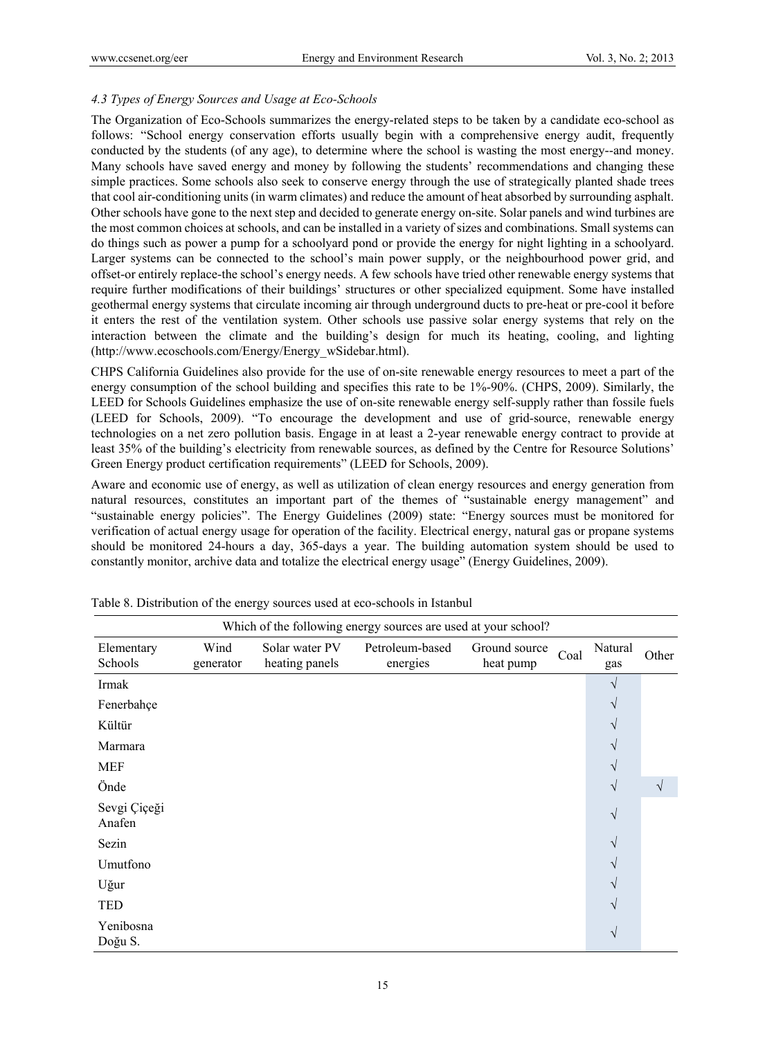## *4.3 Types of Energy Sources and Usage at Eco-Schools*

The Organization of Eco-Schools summarizes the energy-related steps to be taken by a candidate eco-school as follows: "School energy conservation efforts usually begin with a comprehensive energy audit, frequently conducted by the students (of any age), to determine where the school is wasting the most energy--and money. Many schools have saved energy and money by following the students' recommendations and changing these simple practices. Some schools also seek to conserve energy through the use of strategically planted shade trees that cool air-conditioning units (in warm climates) and reduce the amount of heat absorbed by surrounding asphalt. Other schools have gone to the next step and decided to generate energy on-site. Solar panels and wind turbines are the most common choices at schools, and can be installed in a variety of sizes and combinations. Small systems can do things such as power a pump for a schoolyard pond or provide the energy for night lighting in a schoolyard. Larger systems can be connected to the school's main power supply, or the neighbourhood power grid, and offset-or entirely replace-the school's energy needs. A few schools have tried other renewable energy systems that require further modifications of their buildings' structures or other specialized equipment. Some have installed geothermal energy systems that circulate incoming air through underground ducts to pre-heat or pre-cool it before it enters the rest of the ventilation system. Other schools use passive solar energy systems that rely on the interaction between the climate and the building's design for much its heating, cooling, and lighting (http://www.ecoschools.com/Energy/Energy\_wSidebar.html).

CHPS California Guidelines also provide for the use of on-site renewable energy resources to meet a part of the energy consumption of the school building and specifies this rate to be 1%-90%. (CHPS, 2009). Similarly, the LEED for Schools Guidelines emphasize the use of on-site renewable energy self-supply rather than fossile fuels (LEED for Schools, 2009). "To encourage the development and use of grid-source, renewable energy technologies on a net zero pollution basis. Engage in at least a 2-year renewable energy contract to provide at least 35% of the building's electricity from renewable sources, as defined by the Centre for Resource Solutions' Green Energy product certification requirements" (LEED for Schools, 2009).

Aware and economic use of energy, as well as utilization of clean energy resources and energy generation from natural resources, constitutes an important part of the themes of "sustainable energy management" and "sustainable energy policies". The Energy Guidelines (2009) state: "Energy sources must be monitored for verification of actual energy usage for operation of the facility. Electrical energy, natural gas or propane systems should be monitored 24-hours a day, 365-days a year. The building automation system should be used to constantly monitor, archive data and totalize the electrical energy usage" (Energy Guidelines, 2009).

|                        | Which of the following energy sources are used at your school? |                                  |                             |                            |      |                |            |
|------------------------|----------------------------------------------------------------|----------------------------------|-----------------------------|----------------------------|------|----------------|------------|
| Elementary<br>Schools  | Wind<br>generator                                              | Solar water PV<br>heating panels | Petroleum-based<br>energies | Ground source<br>heat pump | Coal | Natural<br>gas | Other      |
| Irmak                  |                                                                |                                  |                             |                            |      | V              |            |
| Fenerbahçe             |                                                                |                                  |                             |                            |      | V              |            |
| Kültür                 |                                                                |                                  |                             |                            |      | V              |            |
| Marmara                |                                                                |                                  |                             |                            |      | V              |            |
| <b>MEF</b>             |                                                                |                                  |                             |                            |      | V              |            |
| Önde                   |                                                                |                                  |                             |                            |      | V              | $\sqrt{ }$ |
| Sevgi Çiçeği<br>Anafen |                                                                |                                  |                             |                            |      | $\sqrt{}$      |            |
| Sezin                  |                                                                |                                  |                             |                            |      | V              |            |
| Umutfono               |                                                                |                                  |                             |                            |      | V              |            |
| Uğur                   |                                                                |                                  |                             |                            |      | V              |            |
| <b>TED</b>             |                                                                |                                  |                             |                            |      | V              |            |
| Yenibosna<br>Doğu S.   |                                                                |                                  |                             |                            |      | V              |            |

Table 8. Distribution of the energy sources used at eco-schools in Istanbul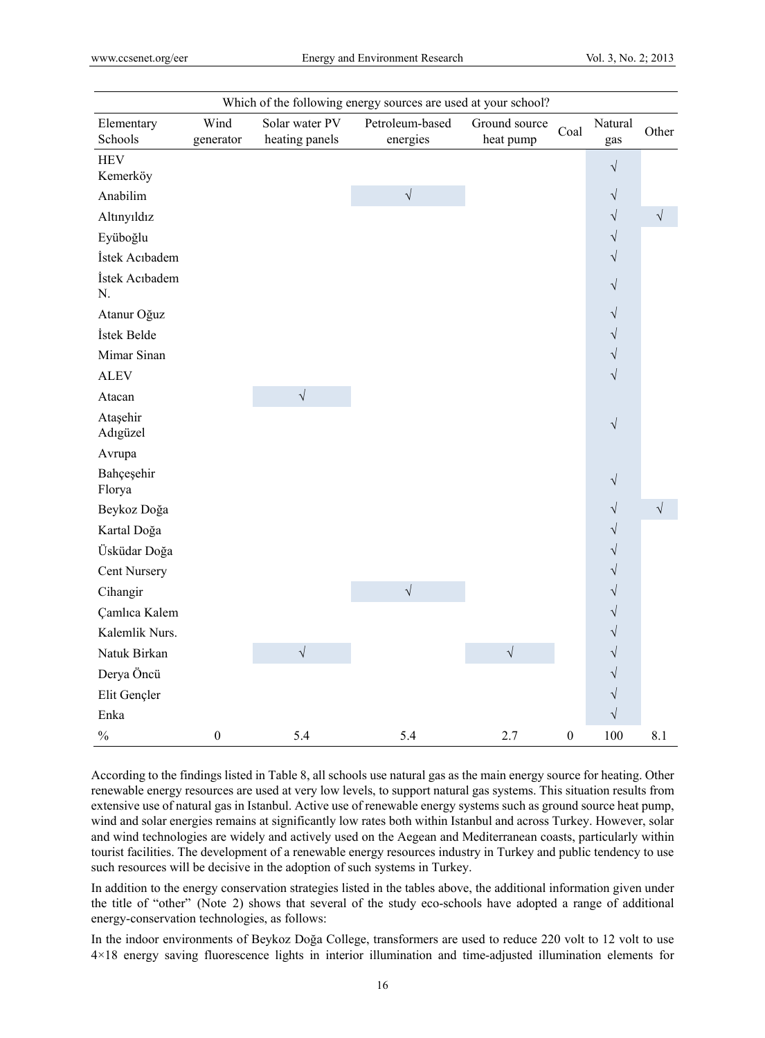|                       |                   |                                  | Which of the following energy sources are used at your school? |                            |                  |                      |           |
|-----------------------|-------------------|----------------------------------|----------------------------------------------------------------|----------------------------|------------------|----------------------|-----------|
| Elementary<br>Schools | Wind<br>generator | Solar water PV<br>heating panels | Petroleum-based<br>energies                                    | Ground source<br>heat pump | Coal             | Natural<br>gas       | Other     |
| <b>HEV</b>            |                   |                                  |                                                                |                            |                  | $\sqrt{}$            |           |
| Kemerköy              |                   |                                  |                                                                |                            |                  |                      |           |
| Anabilim              |                   |                                  | $\sqrt{}$                                                      |                            |                  | $\sqrt{}$            |           |
| Altınyıldız           |                   |                                  |                                                                |                            |                  | $\sqrt{\phantom{a}}$ | $\sqrt{}$ |
| Eyüboğlu              |                   |                                  |                                                                |                            |                  | $\sqrt{}$            |           |
| İstek Acıbadem        |                   |                                  |                                                                |                            |                  | $\sqrt{}$            |           |
| İstek Acıbadem<br>N.  |                   |                                  |                                                                |                            |                  | $\sqrt{}$            |           |
| Atanur Oğuz           |                   |                                  |                                                                |                            |                  | $\sqrt{}$            |           |
| İstek Belde           |                   |                                  |                                                                |                            |                  | $\sqrt{}$            |           |
| Mimar Sinan           |                   |                                  |                                                                |                            |                  | $\sqrt{}$            |           |
| <b>ALEV</b>           |                   |                                  |                                                                |                            |                  | $\sqrt{}$            |           |
| Atacan                |                   | $\sqrt{\phantom{a}}$             |                                                                |                            |                  |                      |           |
| Ataşehir<br>Adıgüzel  |                   |                                  |                                                                |                            |                  | $\sqrt{}$            |           |
| Avrupa                |                   |                                  |                                                                |                            |                  |                      |           |
| Bahçeşehir<br>Florya  |                   |                                  |                                                                |                            |                  | $\sqrt{}$            |           |
| Beykoz Doğa           |                   |                                  |                                                                |                            |                  | $\sqrt{}$            | $\sqrt{}$ |
| Kartal Doğa           |                   |                                  |                                                                |                            |                  | $\sqrt{}$            |           |
| Üsküdar Doğa          |                   |                                  |                                                                |                            |                  | $\sqrt{}$            |           |
| <b>Cent Nursery</b>   |                   |                                  |                                                                |                            |                  | $\sqrt{}$            |           |
| Cihangir              |                   |                                  | $\sqrt{\phantom{a}}$                                           |                            |                  | $\sqrt{}$            |           |
| Çamlıca Kalem         |                   |                                  |                                                                |                            |                  | $\sqrt{}$            |           |
| Kalemlik Nurs.        |                   |                                  |                                                                |                            |                  | $\sqrt{}$            |           |
| Natuk Birkan          |                   | $\sqrt{\phantom{a}}$             |                                                                | $\sqrt{}$                  |                  | $\sqrt{}$            |           |
| Derya Öncü            |                   |                                  |                                                                |                            |                  | $\sqrt{}$            |           |
| Elit Gençler          |                   |                                  |                                                                |                            |                  | $\sqrt{}$            |           |
| Enka                  |                   |                                  |                                                                |                            |                  | $\sqrt{}$            |           |
| $\frac{0}{0}$         | $\boldsymbol{0}$  | 5.4                              | 5.4                                                            | 2.7                        | $\boldsymbol{0}$ | 100                  | 8.1       |

According to the findings listed in Table 8, all schools use natural gas as the main energy source for heating. Other renewable energy resources are used at very low levels, to support natural gas systems. This situation results from extensive use of natural gas in Istanbul. Active use of renewable energy systems such as ground source heat pump, wind and solar energies remains at significantly low rates both within Istanbul and across Turkey. However, solar and wind technologies are widely and actively used on the Aegean and Mediterranean coasts, particularly within tourist facilities. The development of a renewable energy resources industry in Turkey and public tendency to use such resources will be decisive in the adoption of such systems in Turkey.

In addition to the energy conservation strategies listed in the tables above, the additional information given under the title of "other" (Note 2) shows that several of the study eco-schools have adopted a range of additional energy-conservation technologies, as follows:

In the indoor environments of Beykoz Doğa College, transformers are used to reduce 220 volt to 12 volt to use 4×18 energy saving fluorescence lights in interior illumination and time-adjusted illumination elements for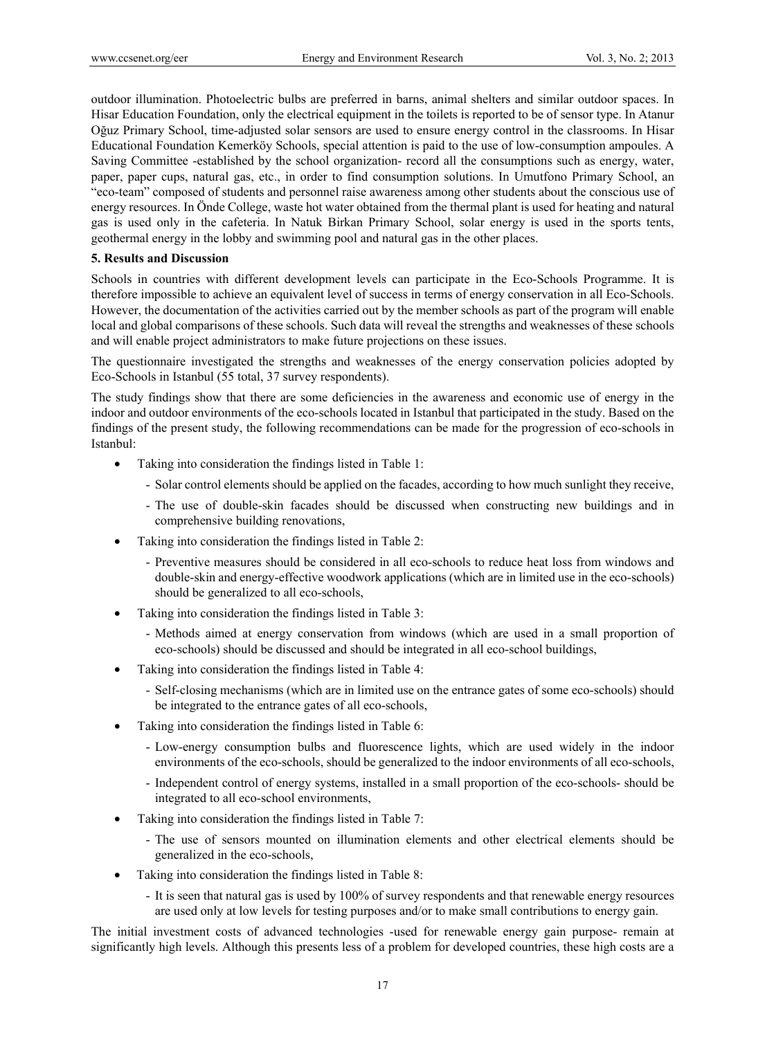outdoor illumination. Photoelectric bulbs are preferred in barns, animal shelters and similar outdoor spaces. In Hisar Education Foundation, only the electrical equipment in the toilets is reported to be of sensor type. In Atanur Oğuz Primary School, time-adjusted solar sensors are used to ensure energy control in the classrooms. In Hisar Educational Foundation Kemerköy Schools, special attention is paid to the use of low-consumption ampoules. A Saving Committee -established by the school organization- record all the consumptions such as energy, water, paper, paper cups, natural gas, etc., in order to find consumption solutions. In Umutfono Primary School, an "eco-team" composed of students and personnel raise awareness among other students about the conscious use of energy resources. In Önde College, waste hot water obtained from the thermal plant is used for heating and natural gas is used only in the cafeteria. In Natuk Birkan Primary School, solar energy is used in the sports tents, geothermal energy in the lobby and swimming pool and natural gas in the other places.

#### **5. Results and Discussion**

Schools in countries with different development levels can participate in the Eco-Schools Programme. It is therefore impossible to achieve an equivalent level of success in terms of energy conservation in all Eco-Schools. However, the documentation of the activities carried out by the member schools as part of the program will enable local and global comparisons of these schools. Such data will reveal the strengths and weaknesses of these schools and will enable project administrators to make future projections on these issues.

The questionnaire investigated the strengths and weaknesses of the energy conservation policies adopted by Eco-Schools in Istanbul (55 total, 37 survey respondents).

The study findings show that there are some deficiencies in the awareness and economic use of energy in the indoor and outdoor environments of the eco-schools located in Istanbul that participated in the study. Based on the findings of the present study, the following recommendations can be made for the progression of eco-schools in Istanbul:

- Taking into consideration the findings listed in Table 1:
	- Solar control elements should be applied on the facades, according to how much sunlight they receive,
	- The use of double-skin facades should be discussed when constructing new buildings and in comprehensive building renovations,
- Taking into consideration the findings listed in Table 2:
	- Preventive measures should be considered in all eco-schools to reduce heat loss from windows and double-skin and energy-effective woodwork applications (which are in limited use in the eco-schools) should be generalized to all eco-schools,
- Taking into consideration the findings listed in Table 3:
	- Methods aimed at energy conservation from windows (which are used in a small proportion of eco-schools) should be discussed and should be integrated in all eco-school buildings,
- Taking into consideration the findings listed in Table 4:
	- Self-closing mechanisms (which are in limited use on the entrance gates of some eco-schools) should be integrated to the entrance gates of all eco-schools,
- Taking into consideration the findings listed in Table 6:
	- Low-energy consumption bulbs and fluorescence lights, which are used widely in the indoor environments of the eco-schools, should be generalized to the indoor environments of all eco-schools,
	- Independent control of energy systems, installed in a small proportion of the eco-schools- should be integrated to all eco-school environments,
- Taking into consideration the findings listed in Table 7:
	- The use of sensors mounted on illumination elements and other electrical elements should be generalized in the eco-schools,
- Taking into consideration the findings listed in Table 8:
	- It is seen that natural gas is used by 100% of survey respondents and that renewable energy resources are used only at low levels for testing purposes and/or to make small contributions to energy gain.

The initial investment costs of advanced technologies -used for renewable energy gain purpose- remain at significantly high levels. Although this presents less of a problem for developed countries, these high costs are a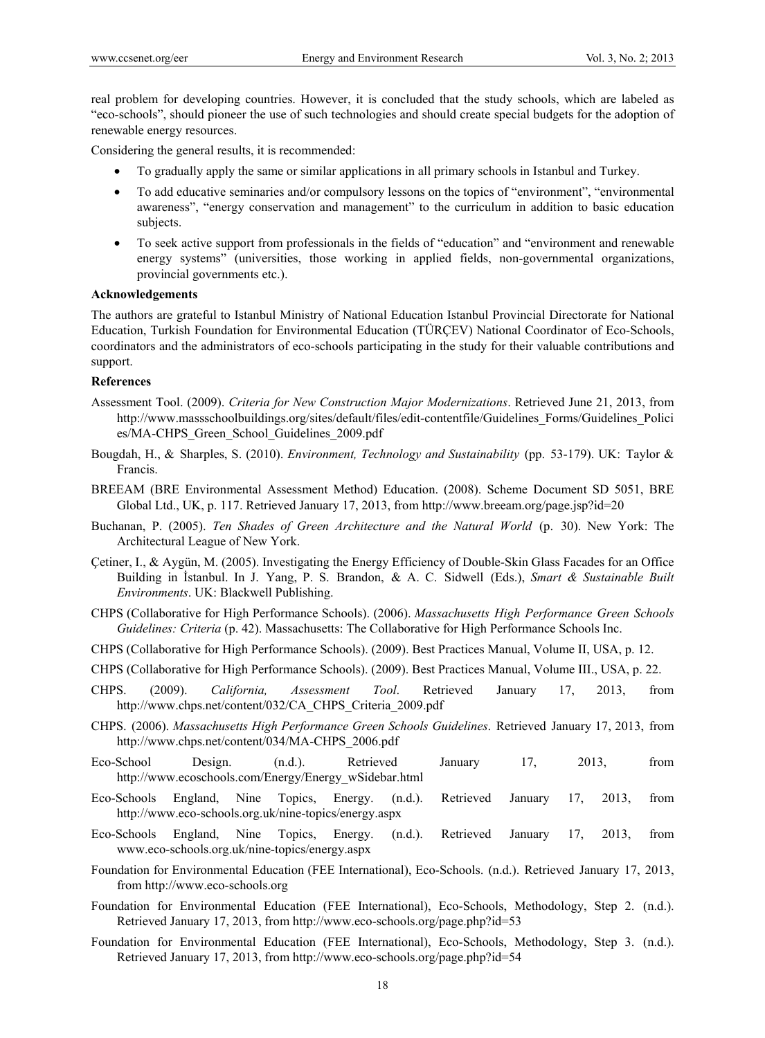real problem for developing countries. However, it is concluded that the study schools, which are labeled as "eco-schools", should pioneer the use of such technologies and should create special budgets for the adoption of renewable energy resources.

Considering the general results, it is recommended:

- To gradually apply the same or similar applications in all primary schools in Istanbul and Turkey.
- To add educative seminaries and/or compulsory lessons on the topics of "environment", "environmental awareness", "energy conservation and management" to the curriculum in addition to basic education subjects.
- To seek active support from professionals in the fields of "education" and "environment and renewable energy systems" (universities, those working in applied fields, non-governmental organizations, provincial governments etc.).

#### **Acknowledgements**

The authors are grateful to Istanbul Ministry of National Education Istanbul Provincial Directorate for National Education, Turkish Foundation for Environmental Education (TÜRÇEV) National Coordinator of Eco-Schools, coordinators and the administrators of eco-schools participating in the study for their valuable contributions and support.

### **References**

- Assessment Tool. (2009). *Criteria for New Construction Major Modernizations*. Retrieved June 21, 2013, from http://www.massschoolbuildings.org/sites/default/files/edit-contentfile/Guidelines\_Forms/Guidelines\_Polici es/MA-CHPS\_Green\_School\_Guidelines\_2009.pdf
- Bougdah, H., & Sharples, S. (2010). *Environment, Technology and Sustainability* (pp. 53-179). UK: Taylor & Francis.
- BREEAM (BRE Environmental Assessment Method) Education. (2008). Scheme Document SD 5051, BRE Global Ltd., UK, p. 117. Retrieved January 17, 2013, from http://www.breeam.org/page.jsp?id=20
- Buchanan, P. (2005). *Ten Shades of Green Architecture and the Natural World* (p. 30). New York: The Architectural League of New York.
- Çetiner, I., & Aygün, M. (2005). Investigating the Energy Efficiency of Double-Skin Glass Facades for an Office Building in İstanbul. In J. Yang, P. S. Brandon, & A. C. Sidwell (Eds.), *Smart & Sustainable Built Environments*. UK: Blackwell Publishing.
- CHPS (Collaborative for High Performance Schools). (2006). *Massachusetts High Performance Green Schools Guidelines: Criteria* (p. 42). Massachusetts: The Collaborative for High Performance Schools Inc.
- CHPS (Collaborative for High Performance Schools). (2009). Best Practices Manual, Volume II, USA, p. 12.
- CHPS (Collaborative for High Performance Schools). (2009). Best Practices Manual, Volume III., USA, p. 22.
- CHPS. (2009). *California, Assessment Tool*. Retrieved January 17, 2013, from http://www.chps.net/content/032/CA\_CHPS\_Criteria\_2009.pdf
- CHPS. (2006). *Massachusetts High Performance Green Schools Guidelines*. Retrieved January 17, 2013, from http://www.chps.net/content/034/MA-CHPS\_2006.pdf
- Eco-School Design. (n.d.). Retrieved January 17, 2013, from http://www.ecoschools.com/Energy/Energy\_wSidebar.html
- Eco-Schools England, Nine Topics, Energy. (n.d.). Retrieved January 17, 2013, from http://www.eco-schools.org.uk/nine-topics/energy.aspx
- Eco-Schools England, Nine Topics, Energy. (n.d.). Retrieved January 17, 2013, from www.eco-schools.org.uk/nine-topics/energy.aspx
- Foundation for Environmental Education (FEE International), Eco-Schools. (n.d.). Retrieved January 17, 2013, from http://www.eco-schools.org
- Foundation for Environmental Education (FEE International), Eco-Schools, Methodology, Step 2. (n.d.). Retrieved January 17, 2013, from http://www.eco-schools.org/page.php?id=53
- Foundation for Environmental Education (FEE International), Eco-Schools, Methodology, Step 3. (n.d.). Retrieved January 17, 2013, from http://www.eco-schools.org/page.php?id=54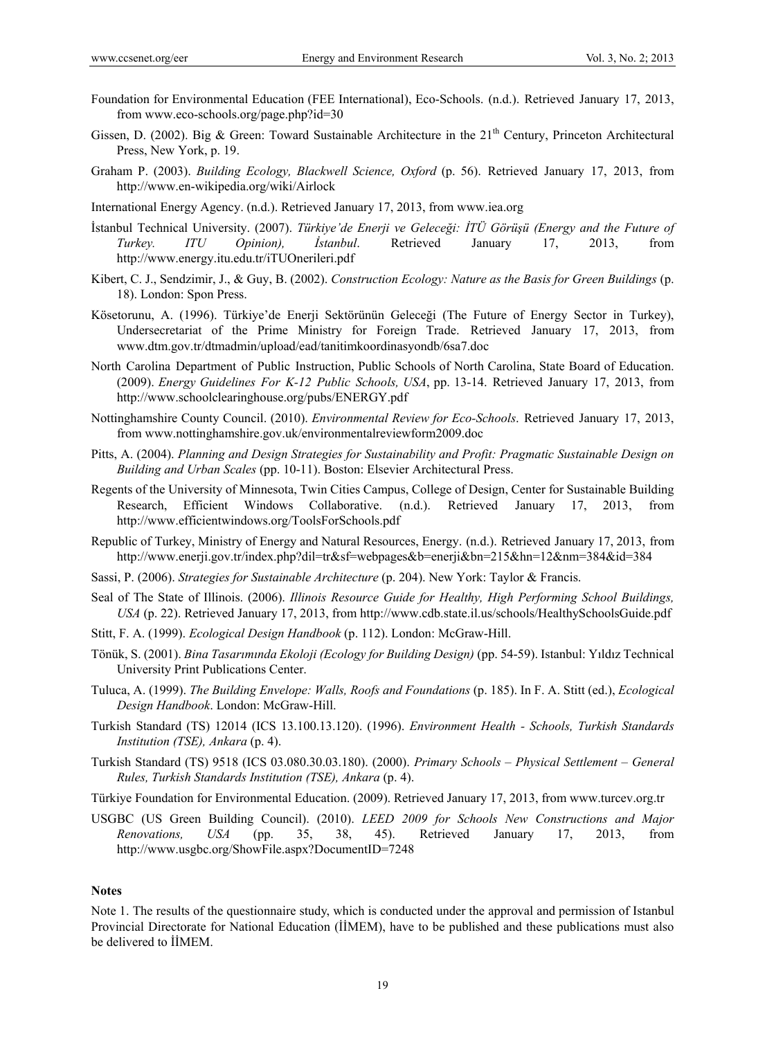- Foundation for Environmental Education (FEE International), Eco-Schools. (n.d.). Retrieved January 17, 2013, from www.eco-schools.org/page.php?id=30
- Gissen, D. (2002). Big & Green: Toward Sustainable Architecture in the 21<sup>th</sup> Century, Princeton Architectural Press, New York, p. 19.
- Graham P. (2003). *Building Ecology, Blackwell Science, Oxford* (p. 56). Retrieved January 17, 2013, from http://www.en-wikipedia.org/wiki/Airlock
- International Energy Agency. (n.d.). Retrieved January 17, 2013, from www.iea.org
- İstanbul Technical University. (2007). *Türkiye'de Enerji ve Geleceği: İTÜ Görüşü (Energy and the Future of Turkey. ITU Opinion), İstanbul*. Retrieved January 17, 2013, from http://www.energy.itu.edu.tr/iTUOnerileri.pdf
- Kibert, C. J., Sendzimir, J., & Guy, B. (2002). *Construction Ecology: Nature as the Basis for Green Buildings* (p. 18). London: Spon Press.
- Kösetorunu, A. (1996). Türkiye'de Enerji Sektörünün Geleceği (The Future of Energy Sector in Turkey), Undersecretariat of the Prime Ministry for Foreign Trade. Retrieved January 17, 2013, from www.dtm.gov.tr/dtmadmin/upload/ead/tanitimkoordinasyondb/6sa7.doc
- North Carolina Department of Public Instruction, Public Schools of North Carolina, State Board of Education. (2009). *Energy Guidelines For K-12 Public Schools, USA*, pp. 13-14. Retrieved January 17, 2013, from http://www.schoolclearinghouse.org/pubs/ENERGY.pdf
- Nottinghamshire County Council. (2010). *Environmental Review for Eco-Schools*. Retrieved January 17, 2013, from www.nottinghamshire.gov.uk/environmentalreviewform2009.doc
- Pitts, A. (2004). *Planning and Design Strategies for Sustainability and Profit: Pragmatic Sustainable Design on Building and Urban Scales* (pp. 10-11). Boston: Elsevier Architectural Press.
- Regents of the University of Minnesota, Twin Cities Campus, College of Design, Center for Sustainable Building Research, Efficient Windows Collaborative. (n.d.). Retrieved January 17, 2013, from http://www.efficientwindows.org/ToolsForSchools.pdf
- Republic of Turkey, Ministry of Energy and Natural Resources, Energy. (n.d.). Retrieved January 17, 2013, from http://www.enerji.gov.tr/index.php?dil=tr&sf=webpages&b=enerji&bn=215&hn=12&nm=384&id=384
- Sassi, P. (2006). *Strategies for Sustainable Architecture* (p. 204). New York: Taylor & Francis.
- Seal of The State of Illinois. (2006). *Illinois Resource Guide for Healthy, High Performing School Buildings, USA* (p. 22). Retrieved January 17, 2013, from http://www.cdb.state.il.us/schools/HealthySchoolsGuide.pdf
- Stitt, F. A. (1999). *Ecological Design Handbook* (p. 112). London: McGraw-Hill.
- Tönük, S. (2001). *Bina Tasarımında Ekoloji (Ecology for Building Design)* (pp. 54-59). Istanbul: Yıldız Technical University Print Publications Center.
- Tuluca, A. (1999). *The Building Envelope: Walls, Roofs and Foundations* (p. 185). In F. A. Stitt (ed.), *Ecological Design Handbook*. London: McGraw-Hill.
- Turkish Standard (TS) 12014 (ICS 13.100.13.120). (1996). *Environment Health Schools, Turkish Standards Institution (TSE), Ankara* (p. 4).
- Turkish Standard (TS) 9518 (ICS 03.080.30.03.180). (2000). *Primary Schools Physical Settlement General Rules, Turkish Standards Institution (TSE), Ankara* (p. 4).
- Türkiye Foundation for Environmental Education. (2009). Retrieved January 17, 2013, from www.turcev.org.tr
- USGBC (US Green Building Council). (2010). *LEED 2009 for Schools New Constructions and Major Renovations, USA* (pp. 35, 38, 45). Retrieved January 17, 2013, from http://www.usgbc.org/ShowFile.aspx?DocumentID=7248

#### **Notes**

Note 1. The results of the questionnaire study, which is conducted under the approval and permission of Istanbul Provincial Directorate for National Education (İİMEM), have to be published and these publications must also be delivered to İİMEM.